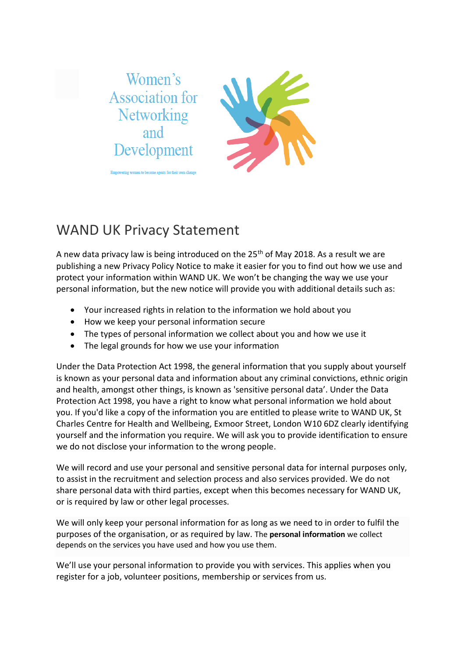

## WAND UK Privacy Statement

A new data privacy law is being introduced on the  $25<sup>th</sup>$  of May 2018. As a result we are publishing a new Privacy Policy Notice to make it easier for you to find out how we use and protect your information within WAND UK. We won't be changing the way we use your personal information, but the new notice will provide you with additional details such as:

- Your increased rights in relation to the information we hold about you
- How we keep your personal information secure
- The types of personal information we collect about you and how we use it
- The legal grounds for how we use your information

Under the Data Protection Act 1998, the general information that you supply about yourself is known as your personal data and information about any criminal convictions, ethnic origin and health, amongst other things, is known as 'sensitive personal data'. Under the Data Protection Act 1998, you have a right to know what personal information we hold about you. If you'd like a copy of the information you are entitled to please write to WAND UK, St Charles Centre for Health and Wellbeing, Exmoor Street, London W10 6DZ clearly identifying yourself and the information you require. We will ask you to provide identification to ensure we do not disclose your information to the wrong people.

We will record and use your personal and sensitive personal data for internal purposes only, to assist in the recruitment and selection process and also services provided. We do not share personal data with third parties, except when this becomes necessary for WAND UK, or is required by law or other legal processes.

We will only keep your personal information for as long as we need to in order to fulfil the purposes of the organisation, or as required by law. The **[personal information](https://ee.co.uk/help/help-new/general/privacy/ee-privacy-policy#gloss)** we collect depends on the services you have used and how you use them.

We'll use your personal information to provide you with services. This applies when you register for a job, volunteer positions, membership or services from us.